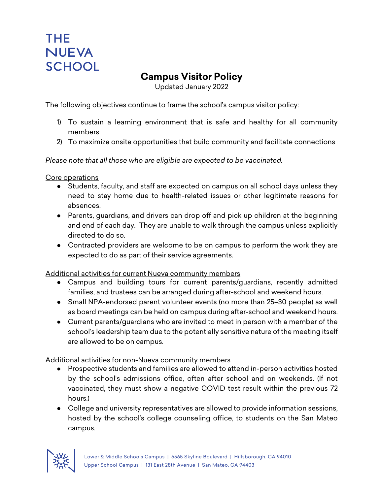## THE. **NUEVA SCHOOL**

## **Campus Visitor Policy**

Updated January 2022

The following objectives continue to frame the school's campus visitor policy:

- 1) To sustain a learning environment that is safe and healthy for all community members
- 2) To maximize onsite opportunities that build community and facilitate connections

*Please note that all those who are eligible are expected to be vaccinated.*

Core operations

- Students, faculty, and staff are expected on campus on all school days unless they need to stay home due to health-related issues or other legitimate reasons for absences.
- Parents, guardians, and drivers can drop off and pick up children at the beginning and end of each day. They are unable to walk through the campus unless explicitly directed to do so.
- Contracted providers are welcome to be on campus to perform the work they are expected to do as part of their service agreements.

Additional activities for current Nueva community members

- Campus and building tours for current parents/guardians, recently admitted families, and trustees can be arranged during after-school and weekend hours.
- Small NPA-endorsed parent volunteer events (no more than 25–30 people) as well as board meetings can be held on campus during after-school and weekend hours.
- Current parents/guardians who are invited to meet in person with a member of the school's leadership team due to the potentially sensitive nature of the meeting itself are allowed to be on campus.

Additional activities for non-Nueva community members

- Prospective students and families are allowed to attend in-person activities hosted by the school's admissions office, often after school and on weekends. (If not vaccinated, they must show a negative COVID test result within the previous 72 hours.)
- College and university representatives are allowed to provide information sessions, hosted by the school's college counseling office, to students on the San Mateo campus.